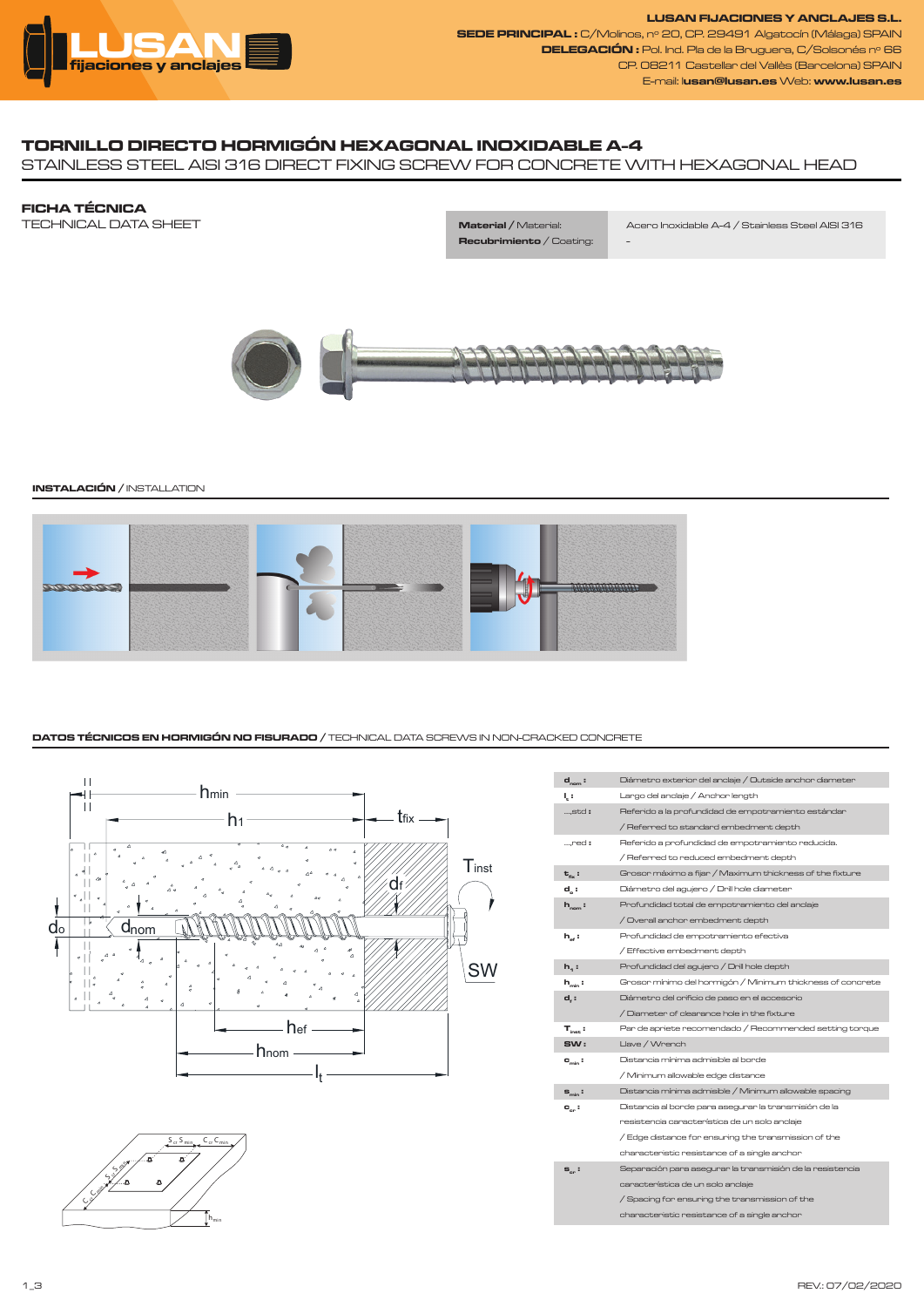

**LUSAN FIJACIONES Y ANCLAJES S.L. SEDE PRINCIPAL :** C/Molinos, nº 20, CP. 29491 Algatocín (Málaga) SPAIN **DELEGACIÓN :** Pol. Ind. Pla de la Bruguera, C/Solsonés nº 66 CP. 08211 Castellar del Vallès (Barcelona) SPAIN E-mail: l**usan@lusan.es** Web: **www.lusan.es**

# **TORNILLO DIRECTO HORMIGÓN HEXAGONAL INOXIDABLE A-4**

STAINLESS STEEL AISI 316 DIRECT FIXING SCREW FOR CONCRETE WITH HEXAGONAL HEAD

**FICHA TÉCNICA** TECHNICAL DATA SHEET

**Recubrimiento** / Coating: -

**Material /** Material: Acero Inoxidable A-4 / Stainless Steel AISI 316



## **INSTALACIÓN /** INSTALLATION



## **DATOS TÉCNICOS EN HORMIGÓN NO FISURADO /** TECHNICAL DATA SCREWS IN NON-CRACKED CONCRETE





| $d_{nom}$ :                | Diámetro exterior del anclaje / Outside anchor diameter    |
|----------------------------|------------------------------------------------------------|
| ų:                         | Largo del anclaje / Anchor length                          |
| ,std:                      | Referido a la profundidad de empotramiento estándar        |
|                            | / Referred to standard embedment depth                     |
| ,red:                      | Referido a profundidad de empotramiento reducida.          |
|                            | / Referred to reduced embedment depth                      |
| $t_{av}$ :                 | Grosor máximo a fijar / Maximum thickness of the fixture   |
| $d_{n}$ :                  | Diámetro del agujero / Drill hole diameter                 |
| $h_{\text{nom}}$ :         | Profundidad total de empotramiento del anclaje             |
|                            | / Overall anchor embedment depth                           |
| $h_{\alpha}$ :             | Profundidad de empotramiento efectiva                      |
|                            | / Effective embedment depth                                |
| $h_{1}$ :                  | Profundidad del agujero / Drill hole depth                 |
| $h_{min}$ :                | Grosor mínimo del hormigón / Minimum thickness of concrete |
| $d_i$ :                    | Diámetro del orificio de paso en el accesorio              |
|                            | / Diameter of clearance hole in the fixture                |
| $T_{\text{inst}}$ :        | Par de apriete recomendado / Recommended setting torque    |
| sw:                        | Llave / Wrench                                             |
| $C_{min}$ :                | Distancia mínima admisible al borde                        |
|                            | / Minimum allowable edge distance                          |
| $s_{\min}$ :               | Distancia mínima admisible / Minimum allowable spacing     |
| $\mathbf{c}_{\text{cr}}$ : | Distancia al borde para asegurar la transmisión de la      |
|                            | resistencia característica de un solo anclaje              |
|                            | / Edge distance for ensuring the transmission of the       |
|                            | characteristic resistance of a single anchor               |
| $s_{cr}$ :                 | Separación para asegurar la transmisión de la resistencia  |
|                            | característica de un solo anclaie                          |
|                            | / Spacing for ensuring the transmission of the             |
|                            | characteristic resistance of a single anchor               |
|                            |                                                            |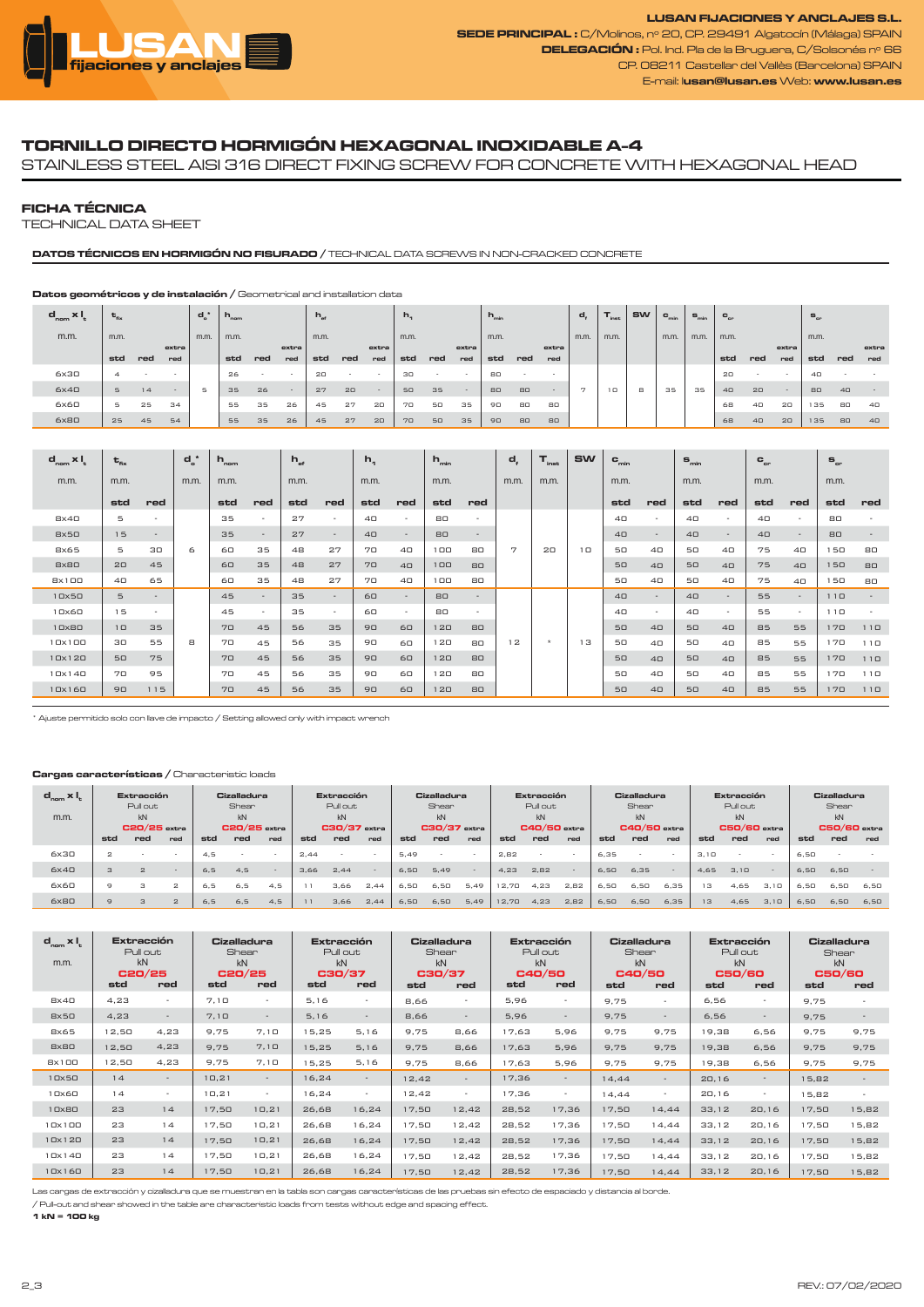

**LUSAN FIJACIONES Y ANCLAJES S.L. SEDE PRINCIPAL :** C/Molinos, nº 20, CP. 29491 Algatocín (Málaga) SPAIN **DELEGACIÓN :** Pol. Ind. Pla de la Bruguera, C/Solsonés nº 66 CP. 08211 Castellar del Vallès (Barcelona) SPAIN E-mail: l**usan@lusan.es** Web: **www.lusan.es**

## **TORNILLO DIRECTO HORMIGÓN HEXAGONAL INOXIDABLE A-4**

STAINLESS STEEL AISI 316 DIRECT FIXING SCREW FOR CONCRETE WITH HEXAGONAL HEAD

### **FICHA TÉCNICA**

TECHNICAL DATA SHEET

## **DATOS TÉCNICOS EN HORMIGÓN NO FISURADO /** TECHNICAL DATA SCREWS IN NON-CRACKED CONCRETE

#### **Datos geométricos y de instalación /** Geometrical and installation data

| $d_{nom} \times I$ | $t_{\rm fix}$ |     |        | $d^*$ | $h_{\text{nom}}$ |     |       | $h_{st}$ |     |        | $h_{\eta}$ |        |        | $h_{\min}$ |     |       | d,             | <sup>1</sup> inst | <b>SW</b> | $c_{\min}$ | $S_{\min}$ | $C_{cr}$   |            |        | $S_{cr}$   |            |       |
|--------------------|---------------|-----|--------|-------|------------------|-----|-------|----------|-----|--------|------------|--------|--------|------------|-----|-------|----------------|-------------------|-----------|------------|------------|------------|------------|--------|------------|------------|-------|
| m.m.               | m.m.          |     |        | m.m.  | m.m.             |     |       | m.m.     |     |        | m.m.       |        |        | m.m.       |     |       | m.m.           | m.m.              |           | m.m.       | m.m.       | m.m.       |            |        | m.m.       |            |       |
|                    |               |     | extra  |       |                  |     | extra |          |     | extra  |            |        | extra  |            |     | extra |                |                   |           |            |            |            |            | extra  |            |            | extra |
|                    | std           | red | red    |       | std              | red | red   | std      | red | red    | std        | red    | red    | std        | red | red   |                |                   |           |            |            | std        | red        | red    | std        | red        | red   |
| 6x30               |               |     |        |       | 26               |     |       | 20       |     | $\sim$ | 30         | $\sim$ |        | 80         |     |       |                |                   |           |            |            | 20         | $\sim$     |        | $4\square$ |            |       |
| 6x40               | 5             | 14  | $\sim$ | 5     | 35               | 26  |       | 27       | 20  | $\sim$ | 50         | 35     | $\sim$ | 80         | 80  | ۰.    | $\overline{z}$ | $1\Box$           | 8         | 35         | 35         | $4\square$ | 20         | $\sim$ | 80         | $4\square$ |       |
| 6x60               |               | 25  | 34     |       | 55               | 35  | 26    | 45       | 27  | 20     | 70         | 50     | 35     | 90         | 80  | 80    |                |                   |           |            |            | 68         | $4\square$ | 20     | 135        | 80         | 40    |
| 6x80               | 25            | 45  | 54     |       | 55               | 35  | 26    | 45       | 27  | 20     | 70         | 50     | 35     | 90         | 80  | 80    |                |                   |           |            |            | 68         | $4\square$ | 20     | 135        | 80         | 40    |

| $d_{nom} \times I_t$           | $t_{\rm fix}$ |                          | $d^*$ | $n_{\text{nom}}$ |        | $h_{\text{ref}}$ |                          | $h_{1}$    |                          | $h_{\min}$            |                          | $d_{\rm r}$   | $T_{\rm inst}$ | <b>SW</b>      | $c_{\min}$ |                          | $S_{\min}$     |                          | $\mathbf{c}_{\textrm{\tiny cr}}$ |                          | $S_{cr}$ |                          |
|--------------------------------|---------------|--------------------------|-------|------------------|--------|------------------|--------------------------|------------|--------------------------|-----------------------|--------------------------|---------------|----------------|----------------|------------|--------------------------|----------------|--------------------------|----------------------------------|--------------------------|----------|--------------------------|
| m.m.                           | m.m.          |                          | m.m.  | m.m.             |        | m.m.             |                          | m.m.       |                          | m.m.                  |                          | m.m.          | m.m.           |                | m.m.       |                          | m.m.           |                          | m.m.                             |                          | m.m.     |                          |
|                                | std           | red                      |       | std              | red    | std              | red                      | std        | red                      | std                   | red                      |               |                |                | std        | red                      | std            | red                      | std                              | red                      | std      | red                      |
| Bx4D                           | 5             | ٠                        |       | 35               | $\sim$ | 27               | $\sim$                   | 40         | $\overline{\phantom{a}}$ | 80                    | $\overline{\phantom{a}}$ |               |                |                | 40         | $\overline{\phantom{a}}$ | 40             | ٠                        | $4\square$                       |                          | 80       |                          |
| 8×50                           | 15            | $\overline{\phantom{a}}$ |       | 35               | $\sim$ | 27               | $\overline{\phantom{a}}$ | $4\square$ | $\overline{\phantom{m}}$ | 80                    | $\overline{\phantom{a}}$ |               |                |                | 40         | $\sim$                   | 40             | $\overline{\phantom{a}}$ | $4\square$                       | $\overline{\phantom{a}}$ | 80       |                          |
| 8x65                           | 5             | 30                       | 6     | 60               | 35     | 48               | 27                       | 70         | $4\square$               | $1\Box$               | 80                       | 7             | 20             | 1 <sup>0</sup> | 50         | 40                       | 50             | $4\square$               | 75                               | $4\square$               | 150      | 80                       |
| 8×80                           | 20            | 45                       |       | 60               | 35     | 48               | 27                       | 70         | $4\square$               | $1\,\square\,\square$ | 80                       |               |                |                | 50         | $4\square$               | 50             | $4\square$               | 75                               | $4\square$               | 150      | 80                       |
| 8×100                          | 40            | 65                       |       | 60               | 35     | 48               | 27                       | 70         | $4\square$               | $1\Box$               | 80                       |               |                |                | 50         | $4\square$               | 50             | $4\square$               | 75                               | $4\square$               | 150      | 80                       |
| 1 <sub>DX</sub> 5 <sub>D</sub> | 5             | $\overline{\phantom{a}}$ |       | 45               | $\sim$ | 35               | $\overline{\phantom{a}}$ | 60         | $\overline{\phantom{a}}$ | 80                    |                          |               |                |                | 40         | $\sim$                   | 4 <sub>0</sub> | $\overline{\phantom{a}}$ | 55                               |                          | 110      | $\overline{\phantom{a}}$ |
| $10\times60$                   | 15            | $\overline{\phantom{a}}$ |       | 45               | $\sim$ | 35               | $\overline{\phantom{a}}$ | 60         |                          | 80                    | $\overline{\phantom{a}}$ |               |                |                | 40         | $\overline{\phantom{a}}$ | 40             | $\overline{\phantom{a}}$ | 55                               | $\sim$                   | 110      |                          |
| 1 <sub>DX</sub> <sub>BD</sub>  | $1 \Box$      | 35                       |       | 70               | 45     | 56               | 35                       | 90         | 60                       | 120                   | 80                       |               |                |                | 50         | $4\square$               | 50             | $4\square$               | 85                               | 55                       | 170      | 110                      |
| 10x100                         | 30            | 55                       | 8     | 70               | 45     | 56               | 35                       | 90         | 60                       | 120                   | 80                       | 12<br>$\star$ |                | 13             | 50         | 40                       | 50             | $4\square$               | 85                               | 55                       | 170      | 110                      |
| 10×120                         | 50            | 75                       |       | 70               | 45     | 56               | 35                       | 90         | 60                       | 120                   | 80                       |               |                |                | 50         | 40                       | 50             | $4\square$               | 85                               | 55                       | 170      | 110                      |
| 10x140                         | 70            | 95                       |       | 70               | 45     | 56               | 35                       | 90         | 60                       | 120                   | 80                       |               |                |                | 50         | 40                       | 50             | 40                       | 85                               | 55                       | 170      | 110                      |
| 10x160                         | 90            | 115                      |       | 70               | 45     | 56               | 35                       | 90         | 60                       | 120                   | 80                       |               |                |                | 50         | $4\square$               | 50             | $4\square$               | 85                               | 55                       | 170      | 110                      |

\* Ajuste permitido solo con llave de impacto / Setting allowed only with impact wrench

### **Cargas características /** Characteristic loads

| $d_{\text{nom}} \times I_{t}$ |                | Extracción<br>Pull out |              |                | Cizalladura<br>Shear |                |      | Extracción<br>Pull out |                |      | Cizalladura<br>Shear |      |       | Extracción<br>Pull out |        |      | Cizalladura<br>Shear |        |      | Extracción<br>Pull out |      |      | Cizalladura<br>Shear |        |
|-------------------------------|----------------|------------------------|--------------|----------------|----------------------|----------------|------|------------------------|----------------|------|----------------------|------|-------|------------------------|--------|------|----------------------|--------|------|------------------------|------|------|----------------------|--------|
| m.m.                          |                | kN                     |              |                | kN                   |                |      | kN                     |                |      | kN                   |      |       | kN                     |        |      | kN                   |        |      | kN                     |      |      | kN                   |        |
|                               | $C20/25$ extra |                        |              | $C20/25$ extra |                      | $C30/37$ extra |      |                        | $C30/37$ extra |      | $C40/50$ extra       |      |       | C40/50 extra           |        |      | $C50/60$ extra       |        |      | $C50/60$ extra         |      |      |                      |        |
|                               | std            | red                    | red          | std            | red                  | red            | std  | red                    | red            | std  | red                  | red  | std   | red                    | red    | std  | red                  | red    | std  | red                    | red  | std  | red                  | red    |
| 6×30                          | $\mathbf{z}$   |                        |              | 4.5            |                      |                | 2.44 |                        |                | 5.49 |                      |      | 2.82  |                        |        | 6.35 |                      |        | 3.10 |                        |      | 6.50 |                      |        |
| 6x4D                          | 3              | $\mathbf{z}$           | $\sim$       | 6.5            | 4.5                  | $\sim$         | 3.66 | 2.44                   |                | 6.50 | 5.49                 |      | 4.23  | 2,82                   | $\sim$ | 6.50 | 6.35                 | $\sim$ | 4.65 | 3,10                   |      | 6.50 | 6,50                 | $\sim$ |
| 6×60                          | $\overline{a}$ | з                      | $\mathbf{z}$ | 6.5            | 6.5                  | 4.5            |      | 3.66                   | 2.44           | 6.50 | 6.50                 | 5.49 | 12.70 | 4.23                   | 2.82   | 6.50 | 6.50                 | 6.35   | 13   | 4.65                   | 3.10 | 6.50 | 6.50                 | 6.50   |
| 6×80                          | 9              | 3                      | $\mathbf{z}$ | 6, 5           | 6.5                  | 4.5            |      | 3.66                   | 2.44           | 6.50 | 6.50                 | 5,49 | 12.70 | 4,23                   | 2,82   | 6.50 | 6.50                 | 6,35   | 13   | 4,65                   | 3.10 | 6.50 | 6.50                 | 6,50   |

| $d_{nom}$ x $I_t$<br>m.m.      | Extracción<br>Pull out<br>kN<br>C20/25<br>std | red    | Cizalladura<br>Shear<br>kN<br>C20/25<br>std<br>red |        | Extracción<br>Pull out<br>kN<br>C30/37<br>std<br>red |                          | Cizalladura<br>Shear<br>kN<br>C30/37<br>std<br>red |                          | <b>Extracción</b><br>Pull out<br>kN<br>C40/50<br>std<br>red |                          | Cizalladura<br>Shear<br>kN<br>C40/50<br>std<br>red |                          | Pull out<br>kN<br><b>C50/60</b><br>std | <b>Extracción</b><br>red | Cizalladura<br>Shear<br>kN<br><b>C50/60</b><br>std | red                      |
|--------------------------------|-----------------------------------------------|--------|----------------------------------------------------|--------|------------------------------------------------------|--------------------------|----------------------------------------------------|--------------------------|-------------------------------------------------------------|--------------------------|----------------------------------------------------|--------------------------|----------------------------------------|--------------------------|----------------------------------------------------|--------------------------|
| $B \times 4D$                  | 4,23                                          | ۰      | 7.10                                               | $\sim$ | 5.16                                                 | $\sim$                   | 8.66                                               | ٠                        | 5.96                                                        | $\sim$                   | 9.75                                               | $\sim$                   | 6.56                                   | $\sim$                   | 9.75                                               |                          |
| 8×50                           | 4,23                                          |        | 7,10                                               | $\sim$ | 5,16                                                 | $\overline{\phantom{a}}$ | 8.66                                               | $\overline{\phantom{a}}$ | 5,96                                                        | $\overline{\phantom{a}}$ | 9.75                                               | $\overline{\phantom{a}}$ | 6,56                                   | $\overline{\phantom{a}}$ | 9,75                                               |                          |
| <b>8×65</b>                    | 12,50                                         | 4,23   | 9.75                                               | 7,10   | 15,25                                                | 5.16                     | 9,75                                               | 8,66                     | 17,63                                                       | 5,96                     | 9,75                                               | 9.75                     | 19,38                                  | 6,56                     | 9.75                                               | 9.75                     |
| 8×80                           | 12,50                                         | 4,23   | 9,75                                               | 7,10   | 15.25                                                | 5,16                     | 9.75                                               | 8,66                     | 17,63                                                       | 5,96                     | 9.75                                               | 9.75                     | 19,38                                  | 6,56                     | 9,75                                               | 9,75                     |
| 8×100                          | 2,50                                          | 4,23   | 9.75                                               | 7,10   | 15,25                                                | 5.16                     | 9.75                                               | 8,66                     | 17,63                                                       | 5,96                     | 9.75                                               | 9.75                     | 19,38                                  | 6,56                     | 9.75                                               | 9,75                     |
| 10×50                          | 14                                            | $\sim$ | 10,21                                              | $\sim$ | 16.24                                                | $\overline{\phantom{a}}$ | 12,42                                              | $\overline{\phantom{a}}$ | 17,36                                                       |                          | 14.44                                              |                          | 20,16                                  | $\overline{\phantom{a}}$ | 15,82                                              |                          |
| 10×60                          | 14                                            | $\sim$ | 10,21                                              | $\sim$ | 16.24                                                | $\sim$                   | 2.42                                               | $\sim$                   | 17,36                                                       |                          | 14.44                                              |                          | 20,16                                  | $\sim$                   | 15,82                                              | $\overline{\phantom{a}}$ |
| 1 <sub>0</sub> × <sub>80</sub> | 23                                            | 14     | 17,50                                              | 10,21  | 26.68                                                | 16.24                    | 17,50                                              | 12,42                    | 28,52                                                       | 17.36                    | 17,50                                              | 14,44                    | 33,12                                  | 20,16                    | 17,50                                              | 15,82                    |
| 10x100                         | 23                                            | 14     | 17.50                                              | 10,21  | 26.68                                                | 16.24                    | 17.50                                              | 12.42                    | 28,52                                                       | 17.36                    | 17,50                                              | 14.44                    | 33,12                                  | 20.16                    | 7,50                                               | 15,82                    |
| 10×120                         | 23                                            | 14     | 17,50                                              | 10,21  | 26.68                                                | 16.24                    | 17.50                                              | 12.42                    | 28,52                                                       | 17.36                    | 17.50                                              | 14.44                    | 33.12                                  | 20,16                    | 7,50                                               | 15,82                    |
| 10x140                         | 23                                            | 14     | 17,50                                              | 10, 21 | 26.68                                                | 16.24                    | 17.50                                              | 12,42                    | 28,52                                                       | 17,36                    | 17.50                                              | 14.44                    | 33.12                                  | 20.16                    | 7.50                                               | 15.82                    |
| 10×160                         | 23                                            | 14     | 17,50                                              | 10,21  | 26.68                                                | 16.24                    | 17,50                                              | 12,42                    | 28,52                                                       | 17.36                    | 17.50                                              | 14.44                    | 33.12                                  | 20.16                    | 7.50                                               | 15.82                    |

Las cargas de extracción y cizalladura que se muestran en la tabla son cargas características de las pruebas sin efecto de espaciado y distancia al borde.

/ Pull-out and shear showed in the table are characteristic loads from tests without edge and spacing effect.